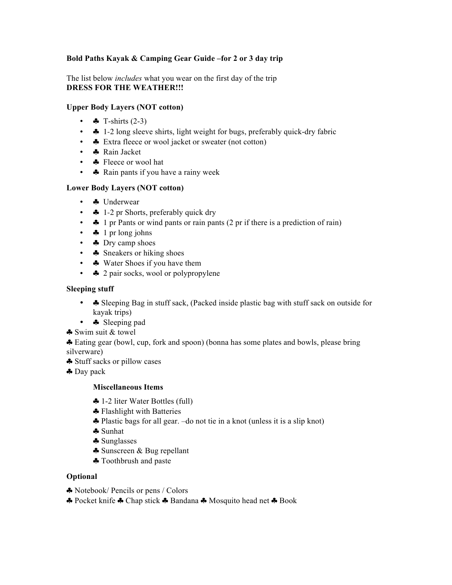# **Bold Paths Kayak & Camping Gear Guide –for 2 or 3 day trip**

The list below *includes* what you wear on the first day of the trip **DRESS FOR THE WEATHER!!!** 

## **Upper Body Layers (NOT cotton)**

- $\clubsuit$  T-shirts (2-3)
- $\bullet$  1-2 long sleeve shirts, light weight for bugs, preferably quick-dry fabric
- $\bullet$  Extra fleece or wool jacket or sweater (not cotton)
- **•** Rain Jacket
- **•** Fleece or wool hat
- A Rain pants if you have a rainy week

## **Lower Body Layers (NOT cotton)**

- • **Inderwear**
- $\bullet$  1-2 pr Shorts, preferably quick dry
- $\bullet$  1 pr Pants or wind pants or rain pants (2 pr if there is a prediction of rain)
- $\clubsuit$  1 pr long johns
- **\*** Dry camp shoes
- **A** Sneakers or hiking shoes
- A Water Shoes if you have them
- **A** 2 pair socks, wool or polypropylene

#### **Sleeping stuff**

- • Sleeping Bag in stuff sack, (Packed inside plastic bag with stuff sack on outside for kayak trips)
- • Sleeping pad
- ♣ Swim suit & towel

♣ Eating gear (bowl, cup, fork and spoon) (bonna has some plates and bowls, please bring silverware)

♣ Stuff sacks or pillow cases

♣ Day pack

## **Miscellaneous Items**

- ♣ 1-2 liter Water Bottles (full)
- ♣ Flashlight with Batteries
- ♣ Plastic bags for all gear. –do not tie in a knot (unless it is a slip knot)
- ♣ Sunhat
- ♣ Sunglasses
- ♣ Sunscreen & Bug repellant
- ♣ Toothbrush and paste

## **Optional**

- ♣ Notebook/ Pencils or pens / Colors
- ♣ Pocket knife ♣ Chap stick ♣ Bandana ♣ Mosquito head net ♣ Book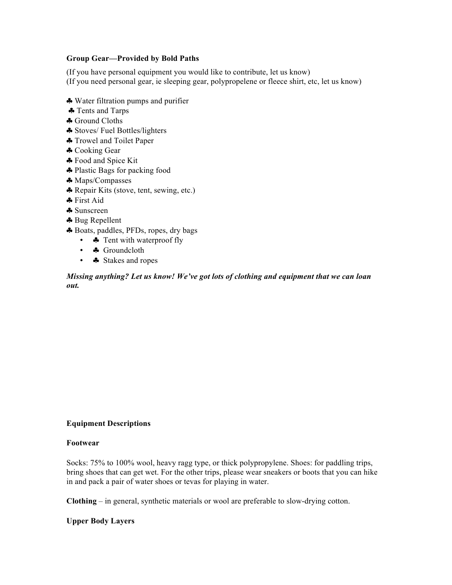#### **Group Gear—Provided by Bold Paths**

(If you have personal equipment you would like to contribute, let us know) (If you need personal gear, ie sleeping gear, polypropelene or fleece shirt, etc, let us know)

- ♣ Water filtration pumps and purifier
- ♣ Tents and Tarps
- ♣ Ground Cloths
- ♣ Stoves/ Fuel Bottles/lighters
- ♣ Trowel and Toilet Paper
- ♣ Cooking Gear
- ♣ Food and Spice Kit
- ♣ Plastic Bags for packing food
- ♣ Maps/Compasses
- ♣ Repair Kits (stove, tent, sewing, etc.)
- ♣ First Aid
- ♣ Sunscreen
- ♣ Bug Repellent
- ♣ Boats, paddles, PFDs, ropes, dry bags
	- • Tent with waterproof fly
	- **\*** Groundcloth
	- ♣ Stakes and ropes

*Missing anything? Let us know! We've got lots of clothing and equipment that we can loan out.* 

## **Equipment Descriptions**

#### **Footwear**

Socks: 75% to 100% wool, heavy ragg type, or thick polypropylene. Shoes: for paddling trips, bring shoes that can get wet. For the other trips, please wear sneakers or boots that you can hike in and pack a pair of water shoes or tevas for playing in water.

**Clothing** – in general, synthetic materials or wool are preferable to slow-drying cotton.

#### **Upper Body Layers**